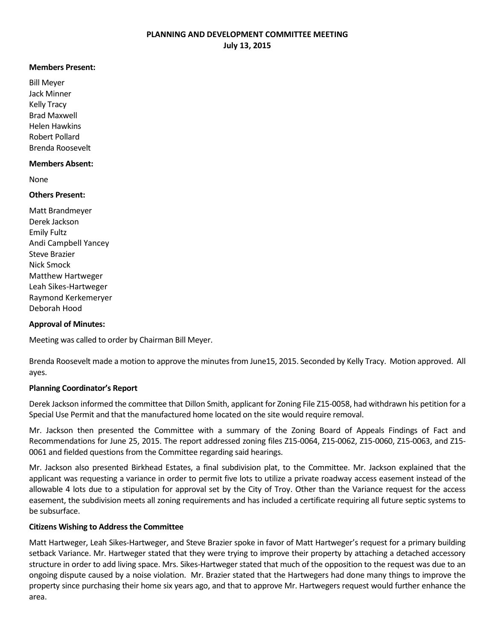#### **Members Present:**

Bill Meyer Jack Minner Kelly Tracy Brad Maxwell Helen Hawkins Robert Pollard Brenda Roosevelt

#### **Members Absent:**

None

# **Others Present:**

Matt Brandmeyer Derek Jackson Emily Fultz Andi Campbell Yancey Steve Brazier Nick Smock Matthew Hartweger Leah Sikes-Hartweger Raymond Kerkemeryer Deborah Hood

# **Approval of Minutes:**

Meeting was called to order by Chairman Bill Meyer.

Brenda Roosevelt made a motion to approve the minutes from June15, 2015. Seconded by Kelly Tracy. Motion approved. All ayes.

#### **Planning Coordinator's Report**

Derek Jackson informed the committee that Dillon Smith, applicant for Zoning File Z15-0058, had withdrawn his petition for a Special Use Permit and that the manufactured home located on the site would require removal.

Mr. Jackson then presented the Committee with a summary of the Zoning Board of Appeals Findings of Fact and Recommendations for June 25, 2015. The report addressed zoning files Z15-0064, Z15-0062, Z15-0060, Z15-0063, and Z15- 0061 and fielded questions from the Committee regarding said hearings.

Mr. Jackson also presented Birkhead Estates, a final subdivision plat, to the Committee. Mr. Jackson explained that the applicant was requesting a variance in order to permit five lots to utilize a private roadway access easement instead of the allowable 4 lots due to a stipulation for approval set by the City of Troy. Other than the Variance request for the access easement, the subdivision meets all zoning requirements and has included a certificate requiring all future septic systems to be subsurface.

# **Citizens Wishing to Address the Committee**

Matt Hartweger, Leah Sikes-Hartweger, and Steve Brazier spoke in favor of Matt Hartweger's request for a primary building setback Variance. Mr. Hartweger stated that they were trying to improve their property by attaching a detached accessory structure in order to add living space. Mrs. Sikes-Hartweger stated that much of the opposition to the request was due to an ongoing dispute caused by a noise violation. Mr. Brazier stated that the Hartwegers had done many things to improve the property since purchasing their home six years ago, and that to approve Mr. Hartwegers request would further enhance the area.